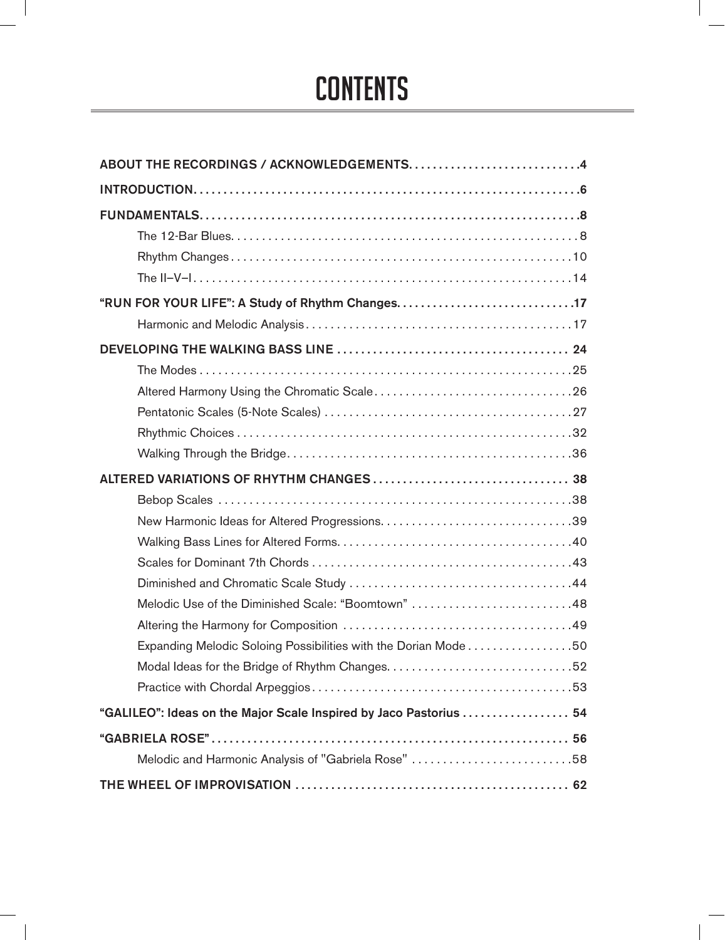# **CONTENTS**

| ABOUT THE RECORDINGS / ACKNOWLEDGEMENTS4                           |
|--------------------------------------------------------------------|
|                                                                    |
|                                                                    |
|                                                                    |
|                                                                    |
|                                                                    |
|                                                                    |
|                                                                    |
|                                                                    |
|                                                                    |
|                                                                    |
|                                                                    |
|                                                                    |
|                                                                    |
|                                                                    |
|                                                                    |
|                                                                    |
|                                                                    |
|                                                                    |
|                                                                    |
| Melodic Use of the Diminished Scale: "Boomtown" 48                 |
|                                                                    |
| Expanding Melodic Soloing Possibilities with the Dorian Mode 50    |
|                                                                    |
|                                                                    |
| "GALILEO": Ideas on the Major Scale Inspired by Jaco Pastorius  54 |
|                                                                    |
| Melodic and Harmonic Analysis of "Gabriela Rose" 58                |
|                                                                    |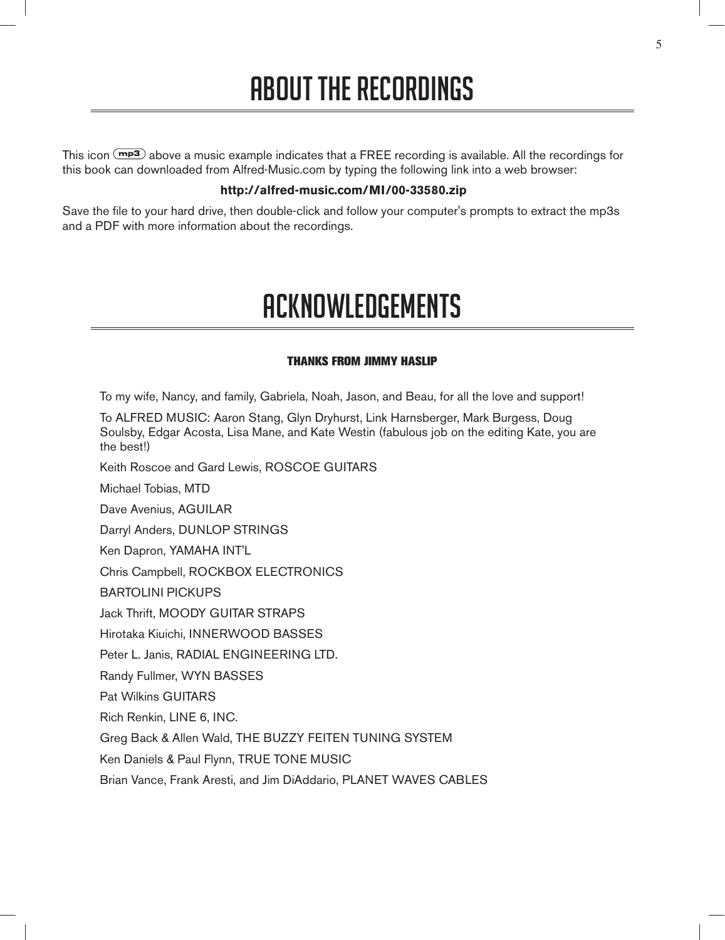## ABOUT THE RECORDINGS

This icon  $(mp3)$  above a music example indicates that a FREE recording is available. All the recordings for this book can downloaded from Alfred-Music.com by typing the following link into a web browser:

#### **http://alfred-music.com/MI/00-33580.zip**

Save the file to your hard drive, then double-click and follow your computer's prompts to extract the mp3s and a PDF with more information about the recordings.

### ACKNOWLEDGEMENTS

#### **THANKS FROM JIMMY HASLIP**

To my wife, Nancy, and family, Gabriela, Noah, Jason, and Beau, for all the love and support!

To ALFRED MUSIC: Aaron Stang, Glyn Dryhurst, Link Harnsberger, Mark Burgess, Doug Soulsby, Edgar Acosta, Lisa Mane, and Kate Westin (fabulous job on the editing Kate, you are the best!)

Keith Roscoe and Gard Lewis, ROSCOE GUITARS

Michael Tobias, MTD

Dave Avenius, AGUILAR

Darryl Anders, DUNLOP STRINGS

Ken Dapron, YAMAHA INT'L

Chris Campbell, ROCKBOX ELECTRONICS

BARTOLINI PICKUPS

Jack Thrift, MOODY GUITAR STRAPS

Hirotaka Kiuichi, INNERWOOD BASSES

Peter L. Janis, RADIAL ENGINEERING LTD.

Randy Fullmer, WYN BASSES

Pat Wilkins GUITARS

Rich Renkin, LINE 6, INC.

Greg Back & Allen Wald, THE BUZZY FEITEN TUNING SYSTEM

Ken Daniels & Paul Flynn, TRUE TONE MUSIC

Brian Vance, Frank Aresti, and Jim DiAddario, PLANET WAVES CABLES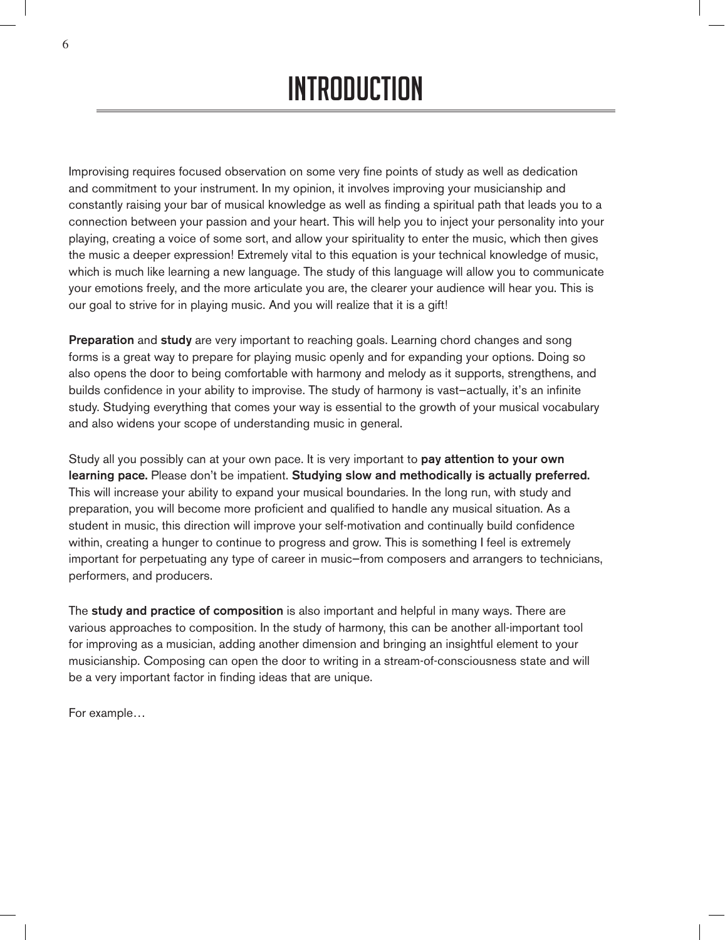Improvising requires focused observation on some very fine points of study as well as dedication and commitment to your instrument. In my opinion, it involves improving your musicianship and constantly raising your bar of musical knowledge as well as finding a spiritual path that leads you to a connection between your passion and your heart. This will help you to inject your personality into your playing, creating a voice of some sort, and allow your spirituality to enter the music, which then gives the music a deeper expression! Extremely vital to this equation is your technical knowledge of music, which is much like learning a new language. The study of this language will allow you to communicate your emotions freely, and the more articulate you are, the clearer your audience will hear you. This is our goal to strive for in playing music. And you will realize that it is a gift!

**Preparation** and **study** are very important to reaching goals. Learning chord changes and song forms is a great way to prepare for playing music openly and for expanding your options. Doing so also opens the door to being comfortable with harmony and melody as it supports, strengthens, and builds confidence in your ability to improvise. The study of harmony is vast-actually, it's an infinite study. Studying everything that comes your way is essential to the growth of your musical vocabulary and also widens your scope of understanding music in general.

Study all you possibly can at your own pace. It is very important to **pay attention to your own learning pace.** Please don't be impatient. **Studying slow and methodically is actually preferred.** This will increase your ability to expand your musical boundaries. In the long run, with study and preparation, you will become more proficient and qualified to handle any musical situation. As a student in music, this direction will improve your self-motivation and continually build confidence within, creating a hunger to continue to progress and grow. This is something I feel is extremely important for perpetuating any type of career in music—from composers and arrangers to technicians, performers, and producers.

The **study and practice of composition** is also important and helpful in many ways. There are various approaches to composition. In the study of harmony, this can be another all-important tool for improving as a musician, adding another dimension and bringing an insightful element to your musicianship. Composing can open the door to writing in a stream-of-consciousness state and will be a very important factor in finding ideas that are unique.

For example…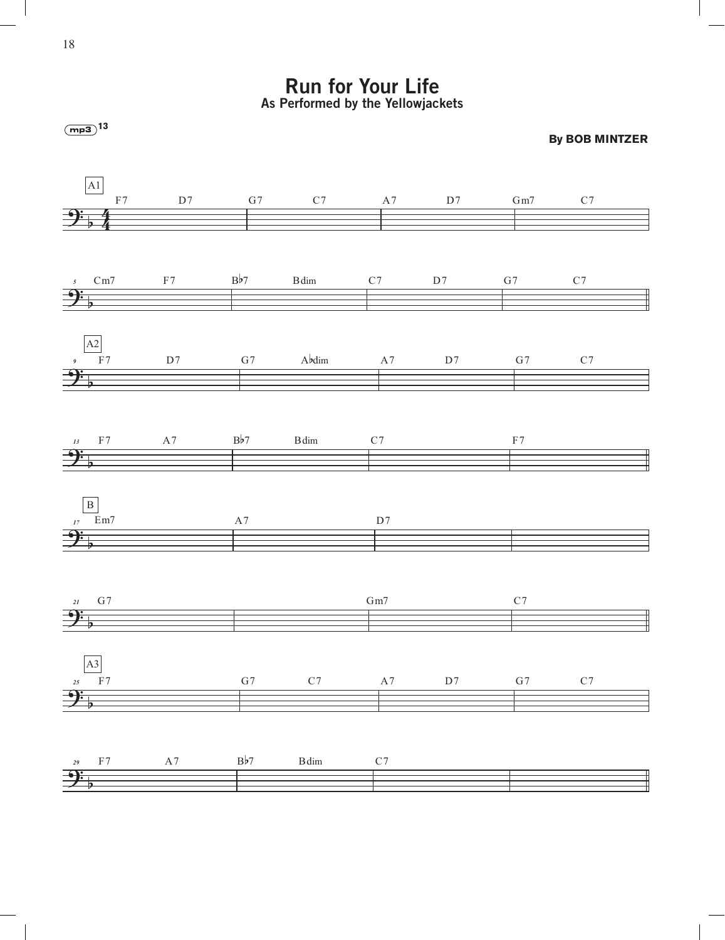**Run for Your Life As Performed by the Yellowjackets**